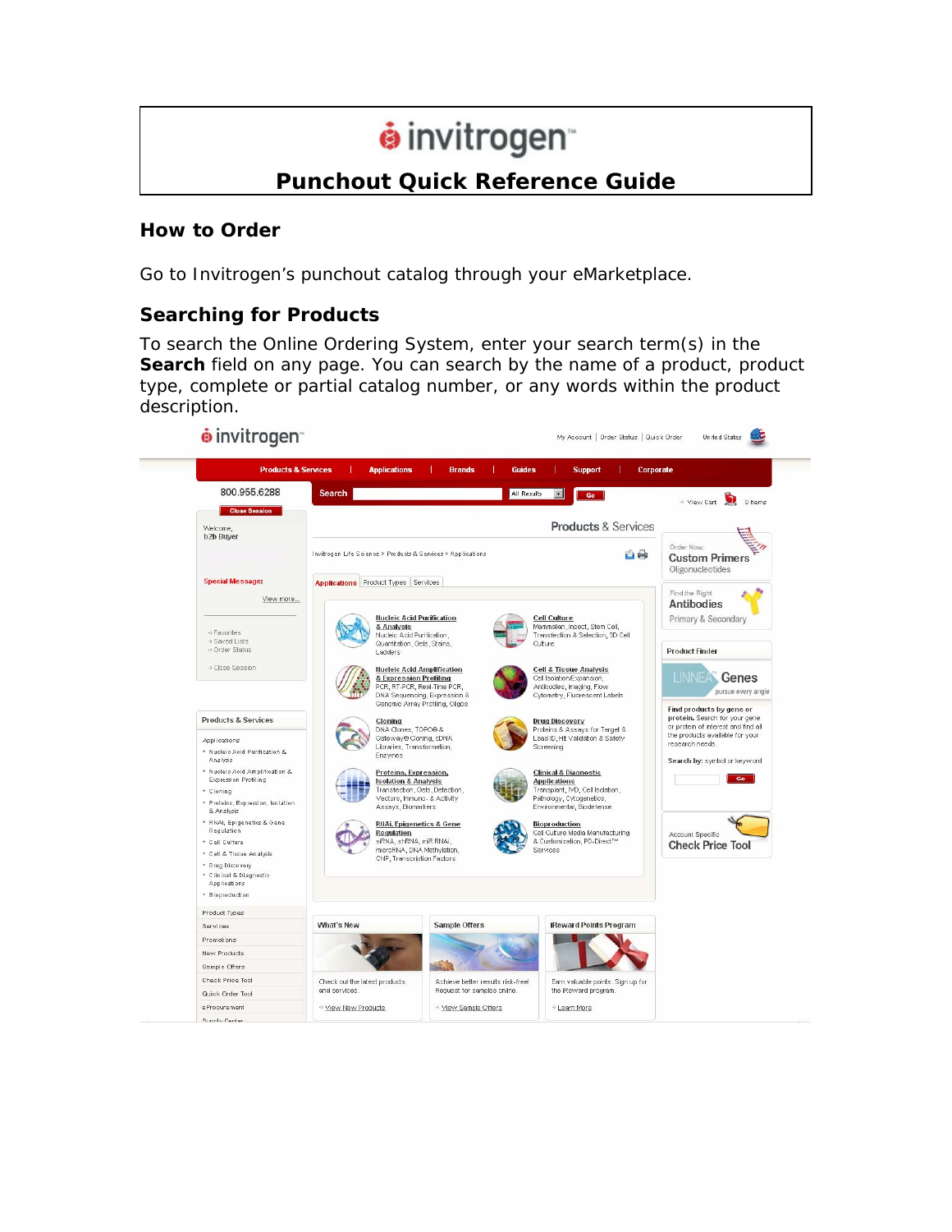# $\dot{\mathbf{e}}$  invitrogen

# **Punchout Quick Reference Guide**

#### **How to Order**

Go to Invitrogen's punchout catalog through your eMarketplace.

# **Searching for Products**

To search the Online Ordering System, enter your search term(s) in the **Search** field on any page. You can search by the name of a product, product type, complete or partial catalog number, or any words within the product description.

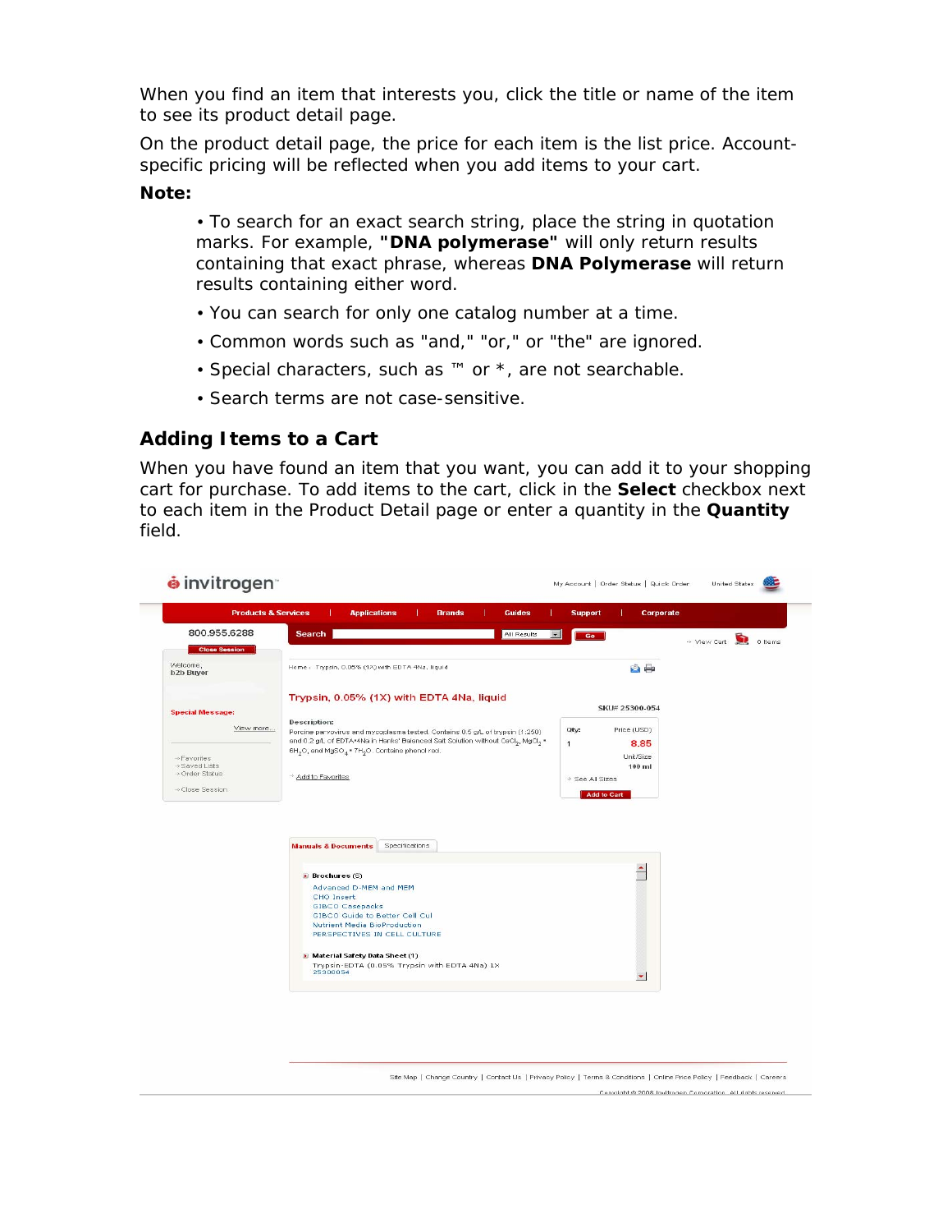When you find an item that interests you, click the title or name of the item to see its product detail page.

On the product detail page, the price for each item is the list price. Accountspecific pricing will be reflected when you add items to your cart.

#### **Note:**

• To search for an exact search string, place the string in quotation marks. For example, **"DNA polymerase"** will only return results containing that exact phrase, whereas **DNA Polymerase** will return results containing either word.

- You can search for only one catalog number at a time.
- Common words such as "and," "or," or "the" are ignored.
- Special characters, such as ™ or \*, are not searchable.
- Search terms are not case-sensitive.

#### **Adding Items to a Cart**

When you have found an item that you want, you can add it to your shopping cart for purchase. To add items to the cart, click in the **Select** checkbox next to each item in the Product Detail page or enter a quantity in the **Quantity**  field.

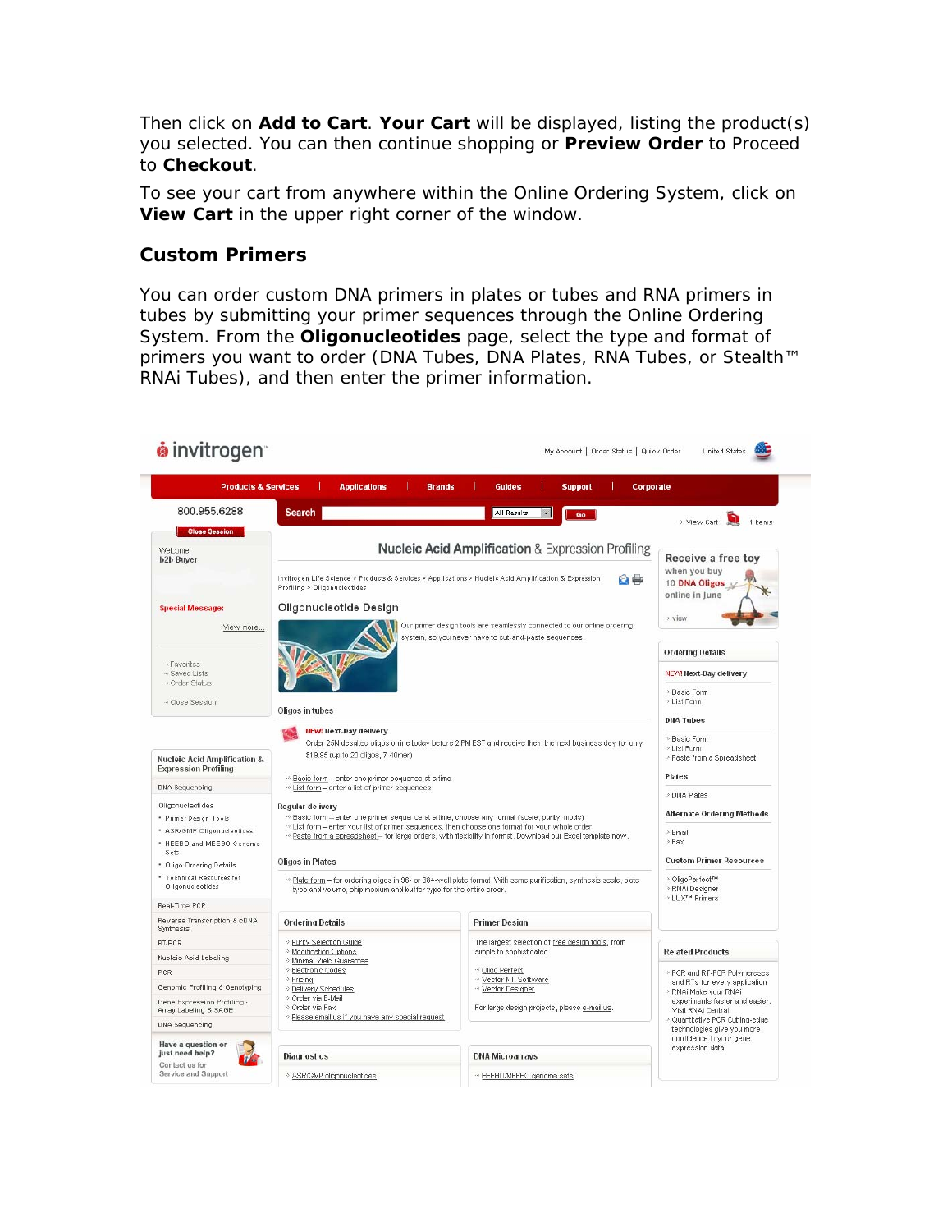Then click on **Add to Cart**. **Your Cart** will be displayed, listing the product(s) you selected. You can then continue shopping or **Preview Order** to Proceed to **Checkout**.

To see your cart from anywhere within the Online Ordering System, click on **View Cart** in the upper right corner of the window.

#### **Custom Primers**

You can order custom DNA primers in plates or tubes and RNA primers in tubes by submitting your primer sequences through the Online Ordering System. From the **Oligonucleotides** page, select the type and format of primers you want to order (DNA Tubes, DNA Plates, RNA Tubes, or Stealth™ RNAi Tubes), and then enter the primer information.

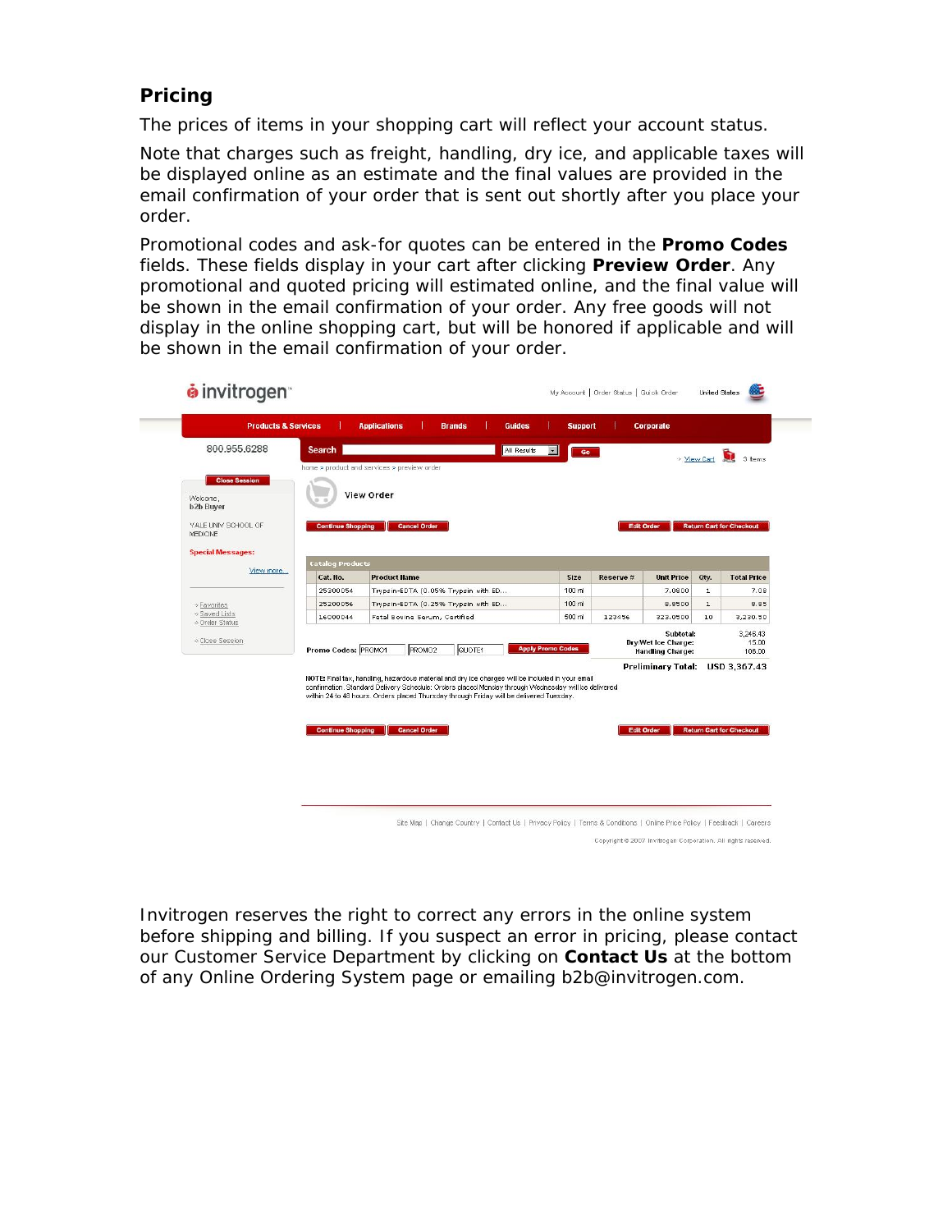# **Pricing**

The prices of items in your shopping cart will reflect your account status.

Note that charges such as freight, handling, dry ice, and applicable taxes will be displayed online as an estimate and the final values are provided in the email confirmation of your order that is sent out shortly after you place your order.

Promotional codes and ask-for quotes can be entered in the **Promo Codes** fields. These fields display in your cart after clicking **Preview Order**. Any promotional and quoted pricing will estimated online, and the final value will be shown in the email confirmation of your order. Any free goods will not display in the online shopping cart, but will be honored if applicable and will be shown in the email confirmation of your order.

|                                        | <b>Products &amp; Services</b>              | <b>Applications</b>                                                                                                                                                                           | <b>Brands</b>                       | <b>Guides</b> | <b>Support</b>                                                                                       |           | Corporate                 |              |                                 |
|----------------------------------------|---------------------------------------------|-----------------------------------------------------------------------------------------------------------------------------------------------------------------------------------------------|-------------------------------------|---------------|------------------------------------------------------------------------------------------------------|-----------|---------------------------|--------------|---------------------------------|
| 800.955.6288                           | Search                                      |                                                                                                                                                                                               |                                     | All Results   | $\mathbf{r}$<br>Go                                                                                   |           |                           | * View Cart  | n<br>3 Items                    |
|                                        | home > product and services > preview order |                                                                                                                                                                                               |                                     |               |                                                                                                      |           |                           |              |                                 |
| <b>Close Session</b>                   |                                             |                                                                                                                                                                                               |                                     |               |                                                                                                      |           |                           |              |                                 |
| Welcome,                               |                                             | <b>View Order</b>                                                                                                                                                                             |                                     |               |                                                                                                      |           |                           |              |                                 |
| <b>b2b Buyer</b>                       |                                             |                                                                                                                                                                                               |                                     |               |                                                                                                      |           |                           |              |                                 |
| YALE UNIV SCHOOL OF<br><b>MEDICINE</b> | <b>Continue Shopping</b>                    | <b>Cancel Order</b>                                                                                                                                                                           |                                     |               |                                                                                                      |           | <b>Edit Order</b>         |              | <b>Return Cart for Checkout</b> |
|                                        |                                             |                                                                                                                                                                                               |                                     |               |                                                                                                      |           |                           |              |                                 |
| <b>Special Messages:</b>               | <b>Catalog Products</b>                     |                                                                                                                                                                                               |                                     |               |                                                                                                      |           |                           |              |                                 |
| View more                              | Cat. No.                                    | <b>Product Name</b>                                                                                                                                                                           |                                     |               | Size                                                                                                 | Reserve # | <b>Unit Price</b>         | Oty.         | <b>Total Price</b>              |
|                                        | 25300054                                    |                                                                                                                                                                                               | Trypsin-EDTA (0.05% Trypsin with ED |               | 100 ml                                                                                               |           | 7.0800                    | $\mathbf 1$  | 7.08                            |
| → Favorites                            | 25200056                                    |                                                                                                                                                                                               | Trypsin-EDTA (0.25% Trypsin with ED |               | 100 ml                                                                                               |           | 8,8500                    | $\mathbf{1}$ | 8.85                            |
| → Saved Lists<br>→ Order Status        | 16000044                                    |                                                                                                                                                                                               | Fetal Bovine Serum, Certified       |               | 500 ml                                                                                               | 123456    | 323.0500                  | 10           | 3,230.50                        |
|                                        |                                             |                                                                                                                                                                                               |                                     |               |                                                                                                      |           | Subtotal:                 |              | 3,246.43                        |
| → Close Session                        | Promo Codes: PROMO1                         |                                                                                                                                                                                               | QUOTE1<br>PROMO <sub>2</sub>        |               | <b>Dry/Wet Ice Charge:</b><br>15.00<br><b>Apply Promo Codes</b><br><b>Handling Charge:</b><br>106.00 |           |                           |              |                                 |
|                                        |                                             |                                                                                                                                                                                               |                                     |               |                                                                                                      |           | <b>Preliminary Total:</b> |              | USD 3,367.43                    |
|                                        |                                             | NOTE: Final tax, handling, hazardous material and dry ice charges will be included in your email                                                                                              |                                     |               |                                                                                                      |           |                           |              |                                 |
|                                        |                                             | confirmation. Standard Delivery Schedule: Orders placed Monday through Wednesday will be delivered<br>within 24 to 48 hours. Orders placed Thursday through Friday will be delivered Tuesday. |                                     |               |                                                                                                      |           |                           |              |                                 |
|                                        |                                             |                                                                                                                                                                                               |                                     |               |                                                                                                      |           |                           |              |                                 |
|                                        |                                             |                                                                                                                                                                                               |                                     |               |                                                                                                      |           |                           |              |                                 |
|                                        | <b>Continue Shopping</b>                    | <b>Cancel Order</b>                                                                                                                                                                           |                                     |               |                                                                                                      |           | <b>Edit Order</b>         |              | <b>Return Cart for Checkout</b> |
|                                        |                                             |                                                                                                                                                                                               |                                     |               |                                                                                                      |           |                           |              |                                 |
|                                        |                                             |                                                                                                                                                                                               |                                     |               |                                                                                                      |           |                           |              |                                 |
|                                        |                                             |                                                                                                                                                                                               |                                     |               |                                                                                                      |           |                           |              |                                 |

Copyright © 2007 Invitrogen Corporation. All rights reserved.

Invitrogen reserves the right to correct any errors in the online system before shipping and billing. If you suspect an error in pricing, please contact our Customer Service Department by clicking on **Contact Us** at the bottom of any Online Ordering System page or emailing b2b@invitrogen.com.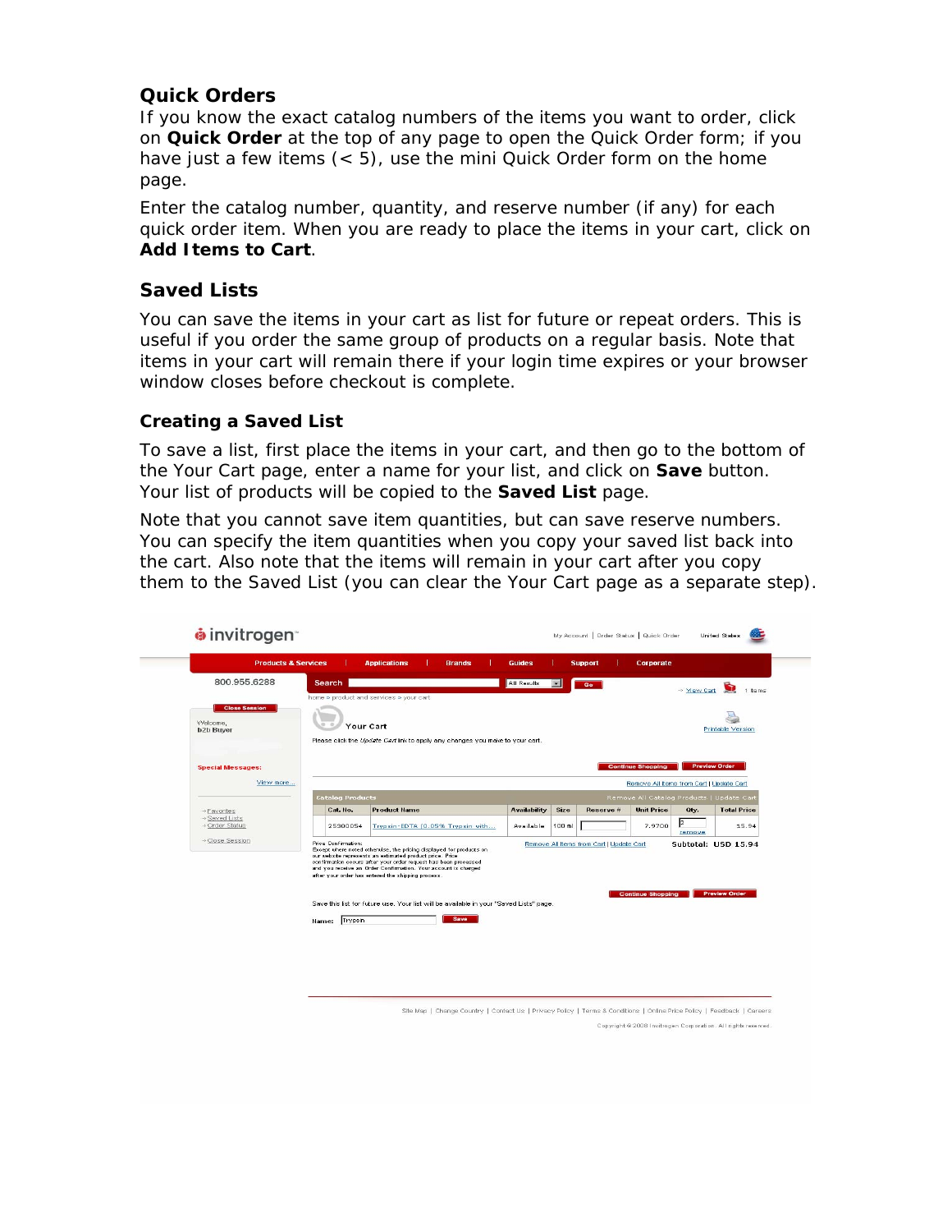# **Quick Orders**

If you know the exact catalog numbers of the items you want to order, click on **Quick Order** at the top of any page to open the Quick Order form; if you have just a few items (< 5), use the mini Quick Order form on the home page.

Enter the catalog number, quantity, and reserve number (if any) for each quick order item. When you are ready to place the items in your cart, click on **Add Items to Cart**.

# **Saved Lists**

You can save the items in your cart as list for future or repeat orders. This is useful if you order the same group of products on a regular basis. Note that items in your cart will remain there if your login time expires or your browser window closes before checkout is complete.

#### **Creating a Saved List**

To save a list, first place the items in your cart, and then go to the bottom of the Your Cart page, enter a name for your list, and click on **Save** button. Your list of products will be copied to the **Saved List** page.

Note that you cannot save item quantities, but can save reserve numbers. You can specify the item quantities when you copy your saved list back into the cart. Also note that the items will remain in your cart after you copy them to the Saved List (you can clear the Your Cart page as a separate step).

|                                  | <b>Products &amp; Services</b> | <b>Applications</b><br><b>Brands</b>                                                                                                                                                               | <b>Guides</b>       |        | <b>Support</b>                           | Corporate                                 |                      |                      |
|----------------------------------|--------------------------------|----------------------------------------------------------------------------------------------------------------------------------------------------------------------------------------------------|---------------------|--------|------------------------------------------|-------------------------------------------|----------------------|----------------------|
| 800.955.6288                     | Search                         |                                                                                                                                                                                                    | All Results         | 题      | Go                                       |                                           | → Mew Cart           | G<br>1 Items         |
|                                  |                                | home > product and services > your cart                                                                                                                                                            |                     |        |                                          |                                           |                      |                      |
| <b>Close Session</b><br>Welcome, |                                |                                                                                                                                                                                                    |                     |        |                                          |                                           |                      |                      |
| <b>b2b Buyer</b>                 |                                | Your Cart                                                                                                                                                                                          |                     |        |                                          |                                           |                      | Printable Version    |
|                                  |                                | Please click the Update Cartlink to apply any changes you make to your cart.                                                                                                                       |                     |        |                                          |                                           |                      |                      |
| <b>Special Messages:</b>         |                                |                                                                                                                                                                                                    |                     |        |                                          | <b>Continue Shopping</b>                  | <b>Preview Order</b> |                      |
| View more                        |                                |                                                                                                                                                                                                    |                     |        |                                          | Remove All Items from Cart   Update Cart  |                      |                      |
|                                  | <b>Catalog Products</b>        |                                                                                                                                                                                                    |                     |        |                                          | Remove All Catalog Products   Update Cart |                      |                      |
|                                  | Cat. No.                       | <b>Product Name</b>                                                                                                                                                                                | <b>Availability</b> | Size   | Reserve #                                | <b>Unit Price</b>                         | Oty.                 | <b>Total Price</b>   |
| → Favorites                      |                                |                                                                                                                                                                                                    |                     |        |                                          |                                           |                      |                      |
| > Saved Lists<br>· Order Status  | 25300054                       | Trypsin-EDTA (0.05% Trypsin with                                                                                                                                                                   | Available           | 100 ml |                                          | 7,9700                                    | 2                    | 15.94                |
| · Close Session                  | Price Confirmation:            |                                                                                                                                                                                                    |                     |        | Remove All Items from Cart   Update Cart |                                           | remove               |                      |
|                                  |                                | Except where noted otherwise, the pricing displayed for products on<br>our website represents an estimated product price. Price<br>confirmation occurs after your order request has been processed |                     |        |                                          |                                           |                      | Subtotal: USD 15.94  |
|                                  |                                | and you receive an Order Confirmation. Your account is charged<br>after your order has entered the shipping process.                                                                               |                     |        |                                          |                                           |                      |                      |
|                                  |                                |                                                                                                                                                                                                    |                     |        |                                          | <b>Continue Shopping</b>                  |                      | <b>Preview Order</b> |
|                                  |                                | Save this list for future use. Your list will be available in your "Saved Lists" page.                                                                                                             |                     |        |                                          |                                           |                      |                      |
|                                  | Trypsin<br>Name:               | Save                                                                                                                                                                                               |                     |        |                                          |                                           |                      |                      |
|                                  |                                |                                                                                                                                                                                                    |                     |        |                                          |                                           |                      |                      |
|                                  |                                |                                                                                                                                                                                                    |                     |        |                                          |                                           |                      |                      |
|                                  |                                |                                                                                                                                                                                                    |                     |        |                                          |                                           |                      |                      |
|                                  |                                |                                                                                                                                                                                                    |                     |        |                                          |                                           |                      |                      |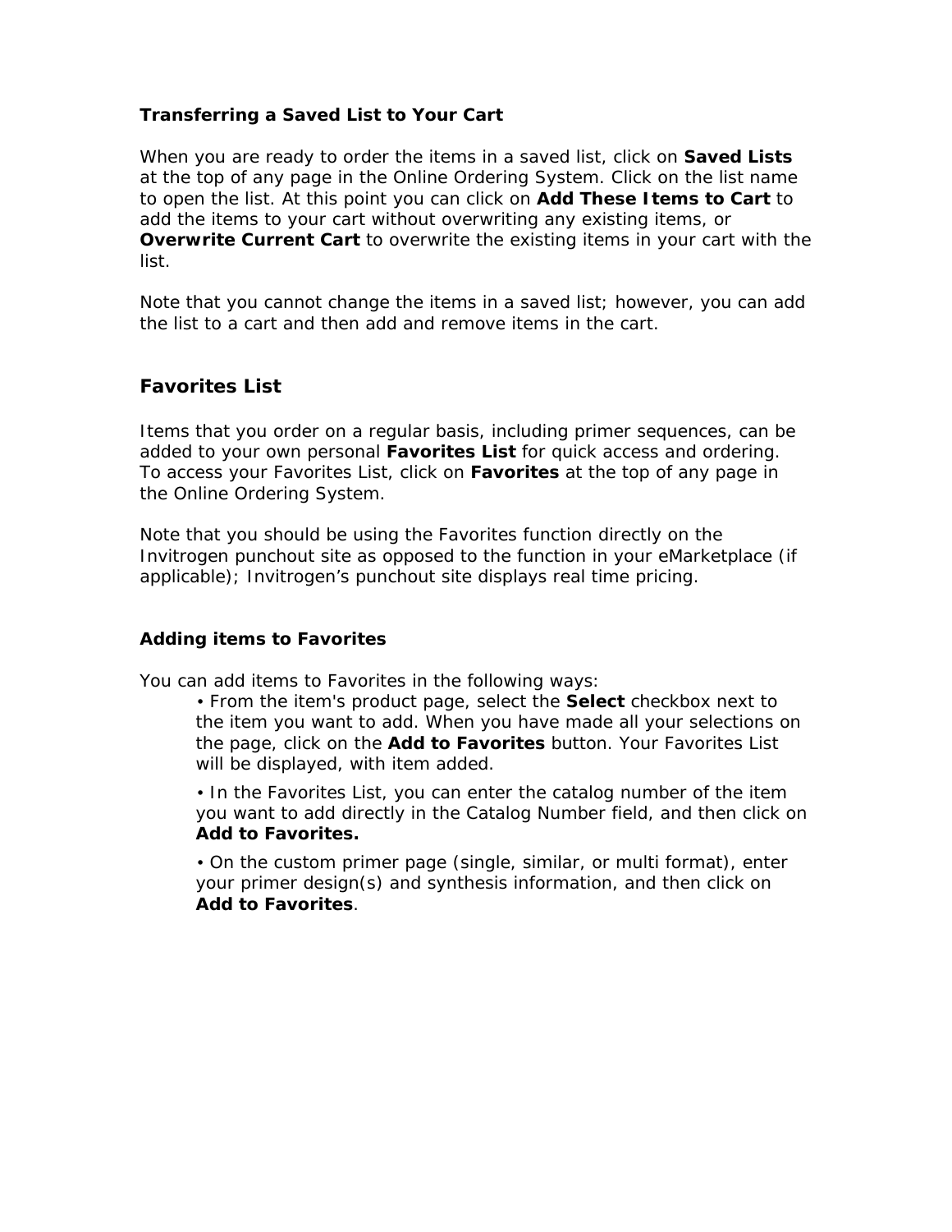#### **Transferring a Saved List to Your Cart**

When you are ready to order the items in a saved list, click on **Saved Lists**  at the top of any page in the Online Ordering System. Click on the list name to open the list. At this point you can click on **Add These Items to Cart** to add the items to your cart without overwriting any existing items, or **Overwrite Current Cart** to overwrite the existing items in your cart with the list.

Note that you cannot change the items in a saved list; however, you can add the list to a cart and then add and remove items in the cart.

#### **Favorites List**

Items that you order on a regular basis, including primer sequences, can be added to your own personal **Favorites List** for quick access and ordering. To access your Favorites List, click on **Favorites** at the top of any page in the Online Ordering System.

Note that you should be using the Favorites function directly on the Invitrogen punchout site as opposed to the function in your eMarketplace (if applicable); Invitrogen's punchout site displays real time pricing.

#### **Adding items to Favorites**

You can add items to Favorites in the following ways:

• From the item's product page, select the **Select** checkbox next to the item you want to add. When you have made all your selections on the page, click on the **Add to Favorites** button. Your Favorites List will be displayed, with item added.

• In the Favorites List, you can enter the catalog number of the item you want to add directly in the Catalog Number field, and then click on **Add to Favorites.** 

• On the custom primer page (single, similar, or multi format), enter your primer design(s) and synthesis information, and then click on **Add to Favorites**.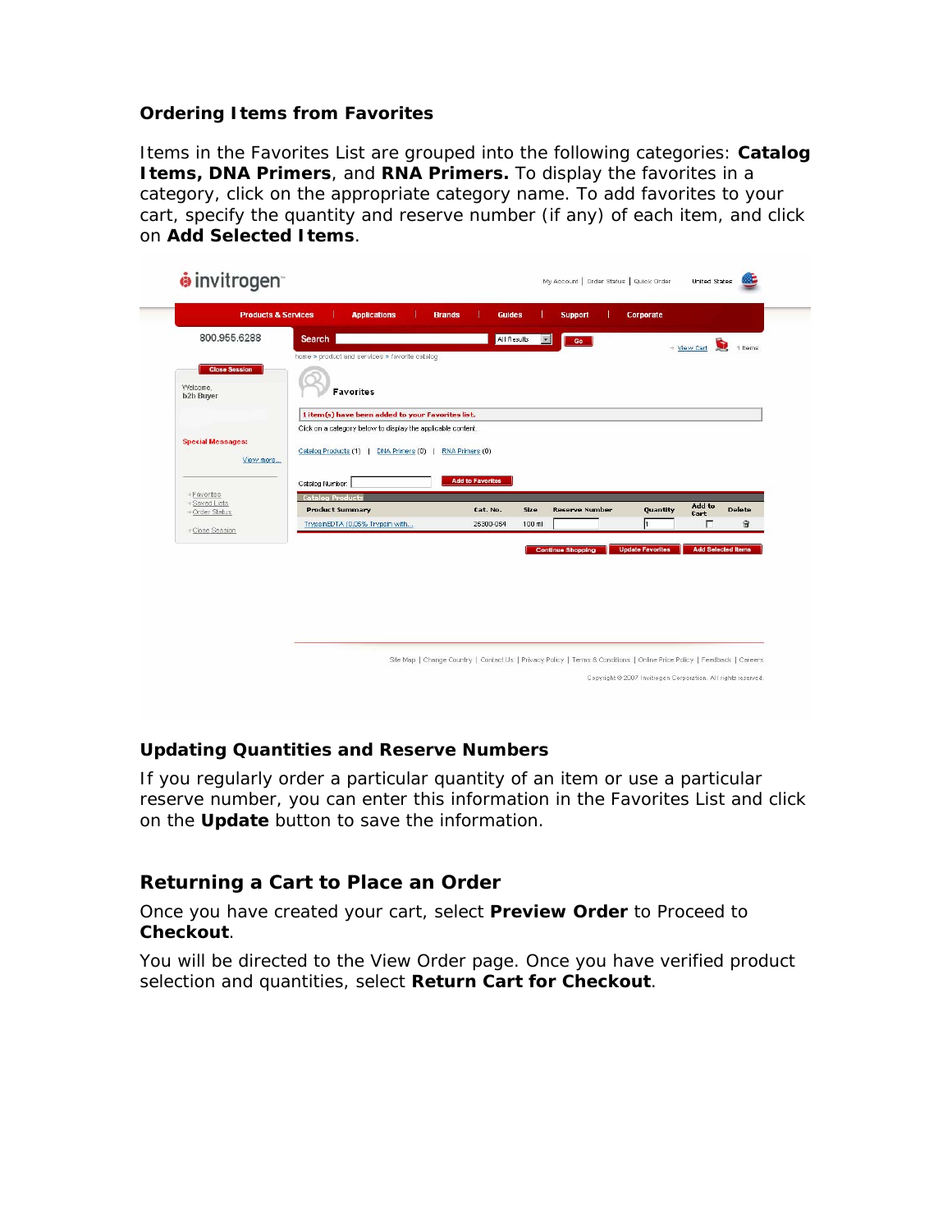#### **Ordering Items from Favorites**

Items in the Favorites List are grouped into the following categories: **Catalog Items, DNA Primers**, and **RNA Primers.** To display the favorites in a category, click on the appropriate category name. To add favorites to your cart, specify the quantity and reserve number (if any) of each item, and click on **Add Selected Items**.

| <b>Products &amp; Services</b>                       | <b>Applications</b>                                                                                    | <b>Brands</b>           | <b>Guides</b>       | <b>Support</b>           | Corporate               |                              |
|------------------------------------------------------|--------------------------------------------------------------------------------------------------------|-------------------------|---------------------|--------------------------|-------------------------|------------------------------|
| 800.955.6288                                         | Search  <br>home > product and services > favorite catalog                                             |                         | All Results         | $\bullet$<br>Go          |                         | Ō.<br>1 Items<br>* View Cart |
| <b>Close Session</b><br>Welcome,<br><b>b2b Buyer</b> | Favorites                                                                                              |                         |                     |                          |                         |                              |
|                                                      | 1 item(s) have been added to your Favorites list.                                                      |                         |                     |                          |                         |                              |
| <b>Special Messages:</b><br>View more                | Click on a category below to display the applicable content.<br>Catalog Products (1)   DNA Primers (0) | RNA Primers (0)         |                     |                          |                         |                              |
|                                                      | Catalog Number:                                                                                        | <b>Add to Favorites</b> |                     |                          |                         |                              |
| → Favorites<br>→ Saved Lists                         | <b>Catalog Products</b><br><b>Product Summary</b>                                                      |                         | Cat. No.<br>Size    | <b>Reserve Number</b>    | Quantity                | Add to<br><b>Delete</b>      |
| → Order Status                                       | TrypsinEDTA (0.05% Trypsin with                                                                        |                         | 25300-054<br>100 ml |                          |                         | Cart<br>密<br>г               |
| → Close Session                                      |                                                                                                        |                         |                     |                          |                         |                              |
|                                                      |                                                                                                        |                         |                     | <b>Continue Shopping</b> | <b>Update Favorites</b> | <b>Add Selected Items</b>    |

#### **Updating Quantities and Reserve Numbers**

If you regularly order a particular quantity of an item or use a particular reserve number, you can enter this information in the Favorites List and click on the **Update** button to save the information.

# **Returning a Cart to Place an Order**

Once you have created your cart, select **Preview Order** to Proceed to **Checkout**.

You will be directed to the View Order page. Once you have verified product selection and quantities, select **Return Cart for Checkout**.